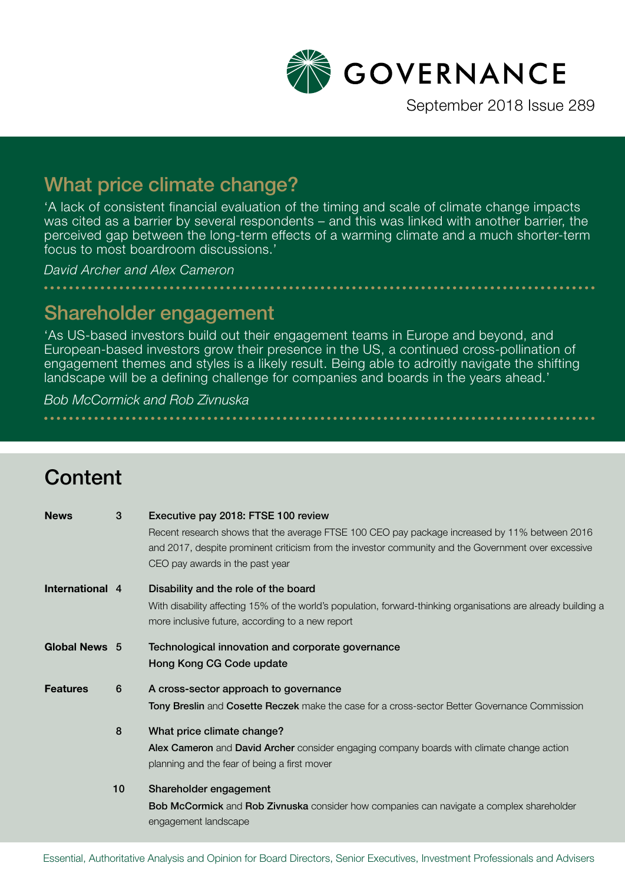

September 2018 Issue 289

### What price climate change?

'A lack of consistent financial evaluation of the timing and scale of climate change impacts was cited as a barrier by several respondents – and this was linked with another barrier, the perceived gap between the long-term effects of a warming climate and a much shorter-term focus to most boardroom discussions.'

*David Archer and Alex Cameron*

### Shareholder engagement

'As US-based investors build out their engagement teams in Europe and beyond, and European-based investors grow their presence in the US, a continued cross-pollination of engagement themes and styles is a likely result. Being able to adroitly navigate the shifting landscape will be a defining challenge for companies and boards in the years ahead.'

*Bob McCormick and Rob Zivnuska*

# **Content**

| <b>News</b>     | 3  | Executive pay 2018: FTSE 100 review<br>Recent research shows that the average FTSE 100 CEO pay package increased by 11% between 2016<br>and 2017, despite prominent criticism from the investor community and the Government over excessive<br>CEO pay awards in the past year |
|-----------------|----|--------------------------------------------------------------------------------------------------------------------------------------------------------------------------------------------------------------------------------------------------------------------------------|
| International 4 |    | Disability and the role of the board<br>With disability affecting 15% of the world's population, forward-thinking organisations are already building a<br>more inclusive future, according to a new report                                                                     |
| Global News 5   |    | Technological innovation and corporate governance<br>Hong Kong CG Code update                                                                                                                                                                                                  |
| <b>Features</b> | 6  | A cross-sector approach to governance<br>Tony Breslin and Cosette Reczek make the case for a cross-sector Better Governance Commission                                                                                                                                         |
|                 | 8  | What price climate change?<br>Alex Cameron and David Archer consider engaging company boards with climate change action<br>planning and the fear of being a first mover                                                                                                        |
|                 | 10 | Shareholder engagement<br>Bob McCormick and Rob Zivnuska consider how companies can navigate a complex shareholder<br>engagement landscape                                                                                                                                     |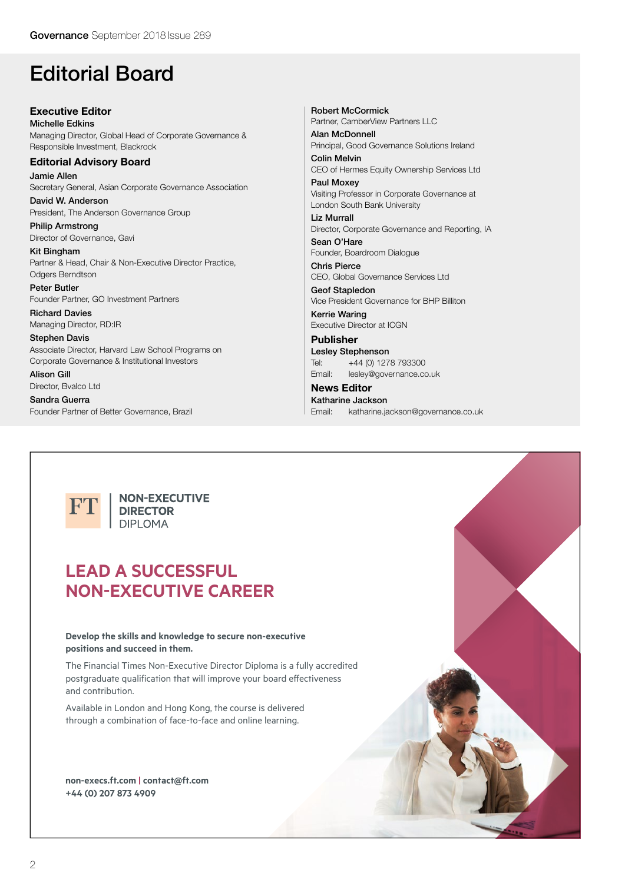## Editorial Board

**Executive Editor** Michelle Edkins Managing Director, Global Head of Corporate Governance & Responsible Investment, Blackrock

#### **Editorial Advisory Board**

Jamie Allen Secretary General, Asian Corporate Governance Association

David W. Anderson President, The Anderson Governance Group

Philip Armstrong Director of Governance, Gavi

Kit Bingham Partner & Head, Chair & Non-Executive Director Practice, Odgers Berndtson

Peter Butler Founder Partner, GO Investment Partners

Richard Davies Managing Director, RD:IR

Stephen Davis Associate Director, Harvard Law School Programs on Corporate Governance & Institutional Investors

Alison Gill Director, Bvalco Ltd

Sandra Guerra Founder Partner of Better Governance, Brazil Robert McCormick Partner, CamberView Partners LLC

Alan McDonnell Principal, Good Governance Solutions Ireland Colin Melvin

CEO of Hermes Equity Ownership Services Ltd Paul Moxey

Visiting Professor in Corporate Governance at London South Bank University

Liz Murrall Director, Corporate Governance and Reporting, IA

Sean O'Hare Founder, Boardroom Dialogue

Chris Pierce CEO, Global Governance Services Ltd

Geof Stapledon Vice President Governance for BHP Billiton Kerrie Waring

Executive Director at ICGN

**Publisher** Lesley Stephenson Tel: +44 (0) 1278 793300 Email: lesley@governance.co.uk

#### **News Editor** Katharine Jackson

Email: katharine.jackson@governance.co.uk



**NON-EXECUTIVE DIRECTOR** DIPLOMA

### **LEAD A SUCCESSFUL NON-EXECUTIVE CAREER**

**Develop the skills and knowledge to secure non-executive positions and succeed in them.**

The Financial Times Non-Executive Director Diploma is a fully accredited postgraduate qualification that will improve your board effectiveness and contribution.

Available in London and Hong Kong, the course is delivered through a combination of face-to-face and online learning.

**non-execs.ft.com | contact@ft.com +44 (0) 207 873 4909**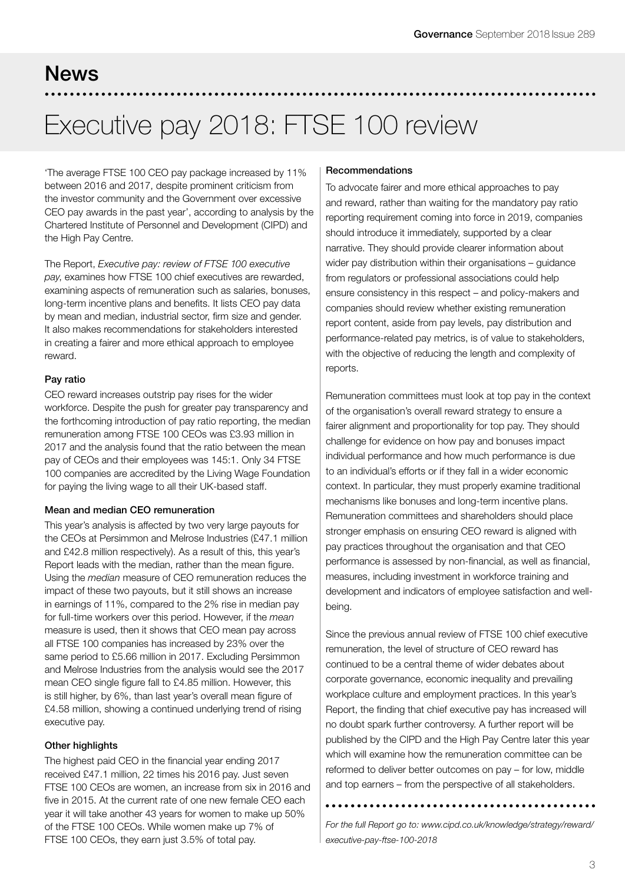### News

# Executive pay 2018: FTSE 100 review

'The average FTSE 100 CEO pay package increased by 11% between 2016 and 2017, despite prominent criticism from the investor community and the Government over excessive CEO pay awards in the past year', according to analysis by the Chartered Institute of Personnel and Development (CIPD) and the High Pay Centre.

The Report, *Executive pay: review of FTSE 100 executive pay*, examines how FTSE 100 chief executives are rewarded, examining aspects of remuneration such as salaries, bonuses, long-term incentive plans and benefits. It lists CEO pay data by mean and median, industrial sector, firm size and gender. It also makes recommendations for stakeholders interested in creating a fairer and more ethical approach to employee reward.

#### Pay ratio

CEO reward increases outstrip pay rises for the wider workforce. Despite the push for greater pay transparency and the forthcoming introduction of pay ratio reporting, the median remuneration among FTSE 100 CEOs was £3.93 million in 2017 and the analysis found that the ratio between the mean pay of CEOs and their employees was 145:1. Only 34 FTSE 100 companies are accredited by the Living Wage Foundation for paying the living wage to all their UK-based staff.

#### Mean and median CEO remuneration

This year's analysis is affected by two very large payouts for the CEOs at Persimmon and Melrose Industries (£47.1 million and £42.8 million respectively). As a result of this, this year's Report leads with the median, rather than the mean figure. Using the *median* measure of CEO remuneration reduces the impact of these two payouts, but it still shows an increase in earnings of 11%, compared to the 2% rise in median pay for full-time workers over this period. However, if the *mean* measure is used, then it shows that CEO mean pay across all FTSE 100 companies has increased by 23% over the same period to £5.66 million in 2017. Excluding Persimmon and Melrose Industries from the analysis would see the 2017 mean CEO single figure fall to £4.85 million. However, this is still higher, by 6%, than last year's overall mean figure of £4.58 million, showing a continued underlying trend of rising executive pay.

#### Other highlights

The highest paid CEO in the financial year ending 2017 received £47.1 million, 22 times his 2016 pay. Just seven FTSE 100 CEOs are women, an increase from six in 2016 and five in 2015. At the current rate of one new female CEO each year it will take another 43 years for women to make up 50% of the FTSE 100 CEOs. While women make up 7% of FTSE 100 CEOs, they earn just 3.5% of total pay.

#### Recommendations

To advocate fairer and more ethical approaches to pay and reward, rather than waiting for the mandatory pay ratio reporting requirement coming into force in 2019, companies should introduce it immediately, supported by a clear narrative. They should provide clearer information about wider pay distribution within their organisations – guidance from regulators or professional associations could help ensure consistency in this respect – and policy-makers and companies should review whether existing remuneration report content, aside from pay levels, pay distribution and performance-related pay metrics, is of value to stakeholders, with the objective of reducing the length and complexity of reports.

Remuneration committees must look at top pay in the context of the organisation's overall reward strategy to ensure a fairer alignment and proportionality for top pay. They should challenge for evidence on how pay and bonuses impact individual performance and how much performance is due to an individual's efforts or if they fall in a wider economic context. In particular, they must properly examine traditional mechanisms like bonuses and long-term incentive plans. Remuneration committees and shareholders should place stronger emphasis on ensuring CEO reward is aligned with pay practices throughout the organisation and that CEO performance is assessed by non-financial, as well as financial, measures, including investment in workforce training and development and indicators of employee satisfaction and wellbeing.

Since the previous annual review of FTSE 100 chief executive remuneration, the level of structure of CEO reward has continued to be a central theme of wider debates about corporate governance, economic inequality and prevailing workplace culture and employment practices. In this year's Report, the finding that chief executive pay has increased will no doubt spark further controversy. A further report will be published by the CIPD and the High Pay Centre later this year which will examine how the remuneration committee can be reformed to deliver better outcomes on pay – for low, middle and top earners – from the perspective of all stakeholders.

*For the full Report go to: www.cipd.co.uk/knowledge/strategy/reward/ executive-pay-ftse-100-2018*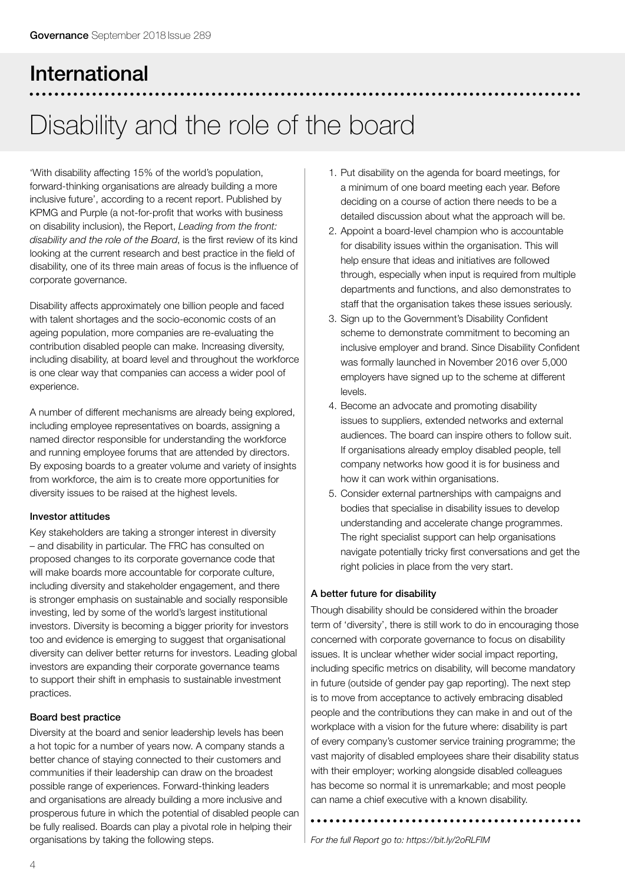## International

# Disability and the role of the board

'With disability affecting 15% of the world's population, forward-thinking organisations are already building a more inclusive future', according to a recent report. Published by KPMG and Purple (a not-for-profit that works with business on disability inclusion), the Report, *Leading from the front: disability and the role of the Board*, is the first review of its kind looking at the current research and best practice in the field of disability, one of its three main areas of focus is the influence of corporate governance.

Disability affects approximately one billion people and faced with talent shortages and the socio-economic costs of an ageing population, more companies are re-evaluating the contribution disabled people can make. Increasing diversity, including disability, at board level and throughout the workforce is one clear way that companies can access a wider pool of experience.

A number of different mechanisms are already being explored, including employee representatives on boards, assigning a named director responsible for understanding the workforce and running employee forums that are attended by directors. By exposing boards to a greater volume and variety of insights from workforce, the aim is to create more opportunities for diversity issues to be raised at the highest levels.

#### Investor attitudes

Key stakeholders are taking a stronger interest in diversity – and disability in particular. The FRC has consulted on proposed changes to its corporate governance code that will make boards more accountable for corporate culture, including diversity and stakeholder engagement, and there is stronger emphasis on sustainable and socially responsible investing, led by some of the world's largest institutional investors. Diversity is becoming a bigger priority for investors too and evidence is emerging to suggest that organisational diversity can deliver better returns for investors. Leading global investors are expanding their corporate governance teams to support their shift in emphasis to sustainable investment practices.

#### Board best practice

Diversity at the board and senior leadership levels has been a hot topic for a number of years now. A company stands a better chance of staying connected to their customers and communities if their leadership can draw on the broadest possible range of experiences. Forward-thinking leaders and organisations are already building a more inclusive and prosperous future in which the potential of disabled people can be fully realised. Boards can play a pivotal role in helping their organisations by taking the following steps.

- 1. Put disability on the agenda for board meetings, for a minimum of one board meeting each year. Before deciding on a course of action there needs to be a detailed discussion about what the approach will be.
- 2. Appoint a board-level champion who is accountable for disability issues within the organisation. This will help ensure that ideas and initiatives are followed through, especially when input is required from multiple departments and functions, and also demonstrates to staff that the organisation takes these issues seriously.
- 3. Sign up to the Government's Disability Confident scheme to demonstrate commitment to becoming an inclusive employer and brand. Since Disability Confident was formally launched in November 2016 over 5,000 employers have signed up to the scheme at different levels.
- 4. Become an advocate and promoting disability issues to suppliers, extended networks and external audiences. The board can inspire others to follow suit. If organisations already employ disabled people, tell company networks how good it is for business and how it can work within organisations.
- 5. Consider external partnerships with campaigns and bodies that specialise in disability issues to develop understanding and accelerate change programmes. The right specialist support can help organisations navigate potentially tricky first conversations and get the right policies in place from the very start.

#### A better future for disability

Though disability should be considered within the broader term of 'diversity', there is still work to do in encouraging those concerned with corporate governance to focus on disability issues. It is unclear whether wider social impact reporting, including specific metrics on disability, will become mandatory in future (outside of gender pay gap reporting). The next step is to move from acceptance to actively embracing disabled people and the contributions they can make in and out of the workplace with a vision for the future where: disability is part of every company's customer service training programme; the vast majority of disabled employees share their disability status with their employer; working alongside disabled colleagues has become so normal it is unremarkable; and most people can name a chief executive with a known disability.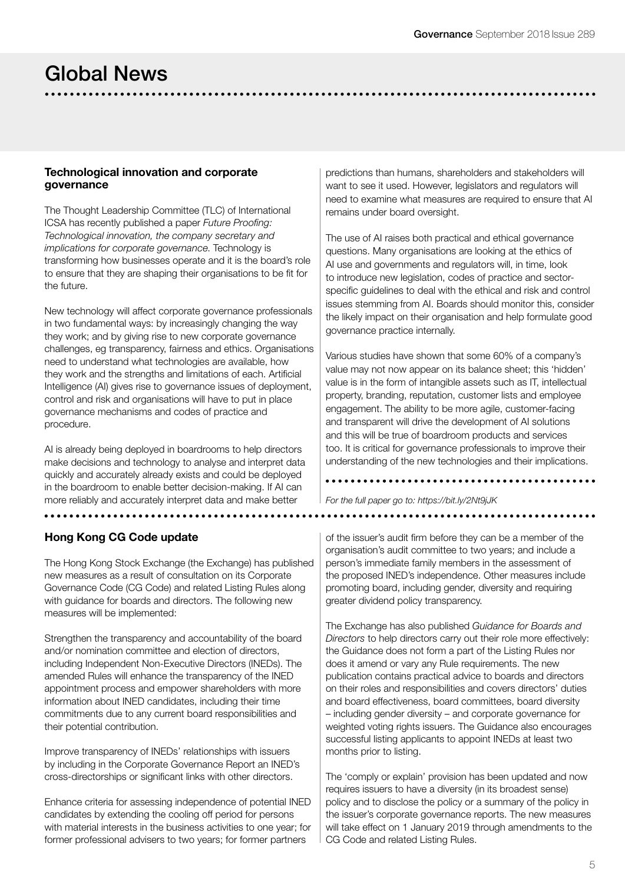### Global News

#### **Technological innovation and corporate governance**

The Thought Leadership Committee (TLC) of International ICSA has recently published a paper *Future Proofing: Technological innovation, the company secretary and implications for corporate governance*. Technology is transforming how businesses operate and it is the board's role to ensure that they are shaping their organisations to be fit for the future.

New technology will affect corporate governance professionals in two fundamental ways: by increasingly changing the way they work; and by giving rise to new corporate governance challenges, eg transparency, fairness and ethics. Organisations need to understand what technologies are available, how they work and the strengths and limitations of each. Artificial Intelligence (AI) gives rise to governance issues of deployment, control and risk and organisations will have to put in place governance mechanisms and codes of practice and procedure.

AI is already being deployed in boardrooms to help directors make decisions and technology to analyse and interpret data quickly and accurately already exists and could be deployed in the boardroom to enable better decision-making. If AI can more reliably and accurately interpret data and make better

#### **Hong Kong CG Code update**

The Hong Kong Stock Exchange (the Exchange) has published new measures as a result of consultation on its Corporate Governance Code (CG Code) and related Listing Rules along with guidance for boards and directors. The following new measures will be implemented:

Strengthen the transparency and accountability of the board and/or nomination committee and election of directors, including Independent Non-Executive Directors (INEDs). The amended Rules will enhance the transparency of the INED appointment process and empower shareholders with more information about INED candidates, including their time commitments due to any current board responsibilities and their potential contribution.

Improve transparency of INEDs' relationships with issuers by including in the Corporate Governance Report an INED's cross-directorships or significant links with other directors.

Enhance criteria for assessing independence of potential INED candidates by extending the cooling off period for persons with material interests in the business activities to one year; for former professional advisers to two years; for former partners

predictions than humans, shareholders and stakeholders will want to see it used. However, legislators and regulators will need to examine what measures are required to ensure that AI remains under board oversight.

The use of AI raises both practical and ethical governance questions. Many organisations are looking at the ethics of AI use and governments and regulators will, in time, look to introduce new legislation, codes of practice and sectorspecific guidelines to deal with the ethical and risk and control issues stemming from AI. Boards should monitor this, consider the likely impact on their organisation and help formulate good governance practice internally.

Various studies have shown that some 60% of a company's value may not now appear on its balance sheet; this 'hidden' value is in the form of intangible assets such as IT, intellectual property, branding, reputation, customer lists and employee engagement. The ability to be more agile, customer-facing and transparent will drive the development of AI solutions and this will be true of boardroom products and services too. It is critical for governance professionals to improve their understanding of the new technologies and their implications.

*For the full paper go to: https://bit.ly/2Nt9jJK*

of the issuer's audit firm before they can be a member of the organisation's audit committee to two years; and include a person's immediate family members in the assessment of the proposed INED's independence. Other measures include promoting board, including gender, diversity and requiring greater dividend policy transparency.

The Exchange has also published *Guidance for Boards and Directors* to help directors carry out their role more effectively: the Guidance does not form a part of the Listing Rules nor does it amend or vary any Rule requirements. The new publication contains practical advice to boards and directors on their roles and responsibilities and covers directors' duties and board effectiveness, board committees, board diversity – including gender diversity – and corporate governance for weighted voting rights issuers. The Guidance also encourages successful listing applicants to appoint INEDs at least two months prior to listing.

The 'comply or explain' provision has been updated and now requires issuers to have a diversity (in its broadest sense) policy and to disclose the policy or a summary of the policy in the issuer's corporate governance reports. The new measures will take effect on 1 January 2019 through amendments to the CG Code and related Listing Rules.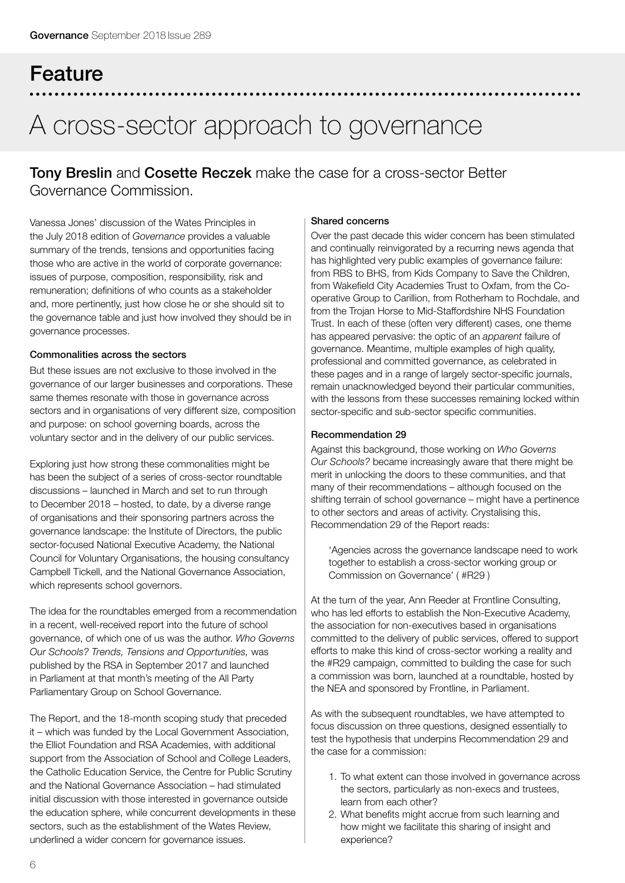# A cross-sector approach to governance

Tony Breslin and Cosette Reczek make the case for a cross-sector Better Governance Commission.

Vanessa Jones' discussion of the Wates Principles in the July 2018 edition of *Governance* provides a valuable summary of the trends, tensions and opportunities facing those who are active in the world of corporate governance: issues of purpose, composition, responsibility, risk and remuneration; definitions of who counts as a stakeholder and, more pertinently, just how close he or she should sit to the governance table and just how involved they should be in governance processes.

#### Commonalities across the sectors

But these issues are not exclusive to those involved in the governance of our larger businesses and corporations. These same themes resonate with those in governance across sectors and in organisations of very different size, composition and purpose: on school governing boards, across the voluntary sector and in the delivery of our public services.

Exploring just how strong these commonalities might be has been the subject of a series of cross-sector roundtable discussions – launched in March and set to run through to December 2018 – hosted, to date, by a diverse range of organisations and their sponsoring partners across the governance landscape: the Institute of Directors, the public sector-focused National Executive Academy, the National Council for Voluntary Organisations, the housing consultancy Campbell Tickell, and the National Governance Association, which represents school governors.

The idea for the roundtables emerged from a recommendation in a recent, well-received report into the future of school governance, of which one of us was the author. *Who Governs Our Schools? Trends, Tensions and Opportunities,* was published by the RSA in September 2017 and launched in Parliament at that month's meeting of the All Party Parliamentary Group on School Governance.

The Report, and the 18-month scoping study that preceded it – which was funded by the Local Government Association, the Elliot Foundation and RSA Academies, with additional support from the Association of School and College Leaders, the Catholic Education Service, the Centre for Public Scrutiny and the National Governance Association – had stimulated initial discussion with those interested in governance outside the education sphere, while concurrent developments in these sectors, such as the establishment of the Wates Review, underlined a wider concern for governance issues.

#### Shared concerns

Over the past decade this wider concern has been stimulated and continually reinvigorated by a recurring news agenda that has highlighted very public examples of governance failure: from RBS to BHS, from Kids Company to Save the Children, from Wakefield City Academies Trust to Oxfam, from the Cooperative Group to Carillion, from Rotherham to Rochdale, and from the Trojan Horse to Mid-Staffordshire NHS Foundation Trust. In each of these (often very different) cases, one theme has appeared pervasive: the optic of an *apparent* failure of governance. Meantime, multiple examples of high quality, professional and committed governance, as celebrated in these pages and in a range of largely sector-specific journals, remain unacknowledged beyond their particular communities, with the lessons from these successes remaining locked within sector-specific and sub-sector specific communities.

#### Recommendation 29

Against this background, those working on *Who Governs Our Schools?* became increasingly aware that there might be merit in unlocking the doors to these communities, and that many of their recommendations – although focused on the shifting terrain of school governance – might have a pertinence to other sectors and areas of activity. Crystalising this, Recommendation 29 of the Report reads:

'Agencies across the governance landscape need to work together to establish a cross-sector working group or Commission on Governance' ( #R29 )

At the turn of the year, Ann Reeder at Frontline Consulting, who has led efforts to establish the Non-Executive Academy, the association for non-executives based in organisations committed to the delivery of public services, offered to support efforts to make this kind of cross-sector working a reality and the #R29 campaign, committed to building the case for such a commission was born, launched at a roundtable, hosted by the NEA and sponsored by Frontline, in Parliament.

As with the subsequent roundtables, we have attempted to focus discussion on three questions, designed essentially to test the hypothesis that underpins Recommendation 29 and the case for a commission:

- 1. To what extent can those involved in governance across the sectors, particularly as non-execs and trustees, learn from each other?
- 2. What benefits might accrue from such learning and how might we facilitate this sharing of insight and experience?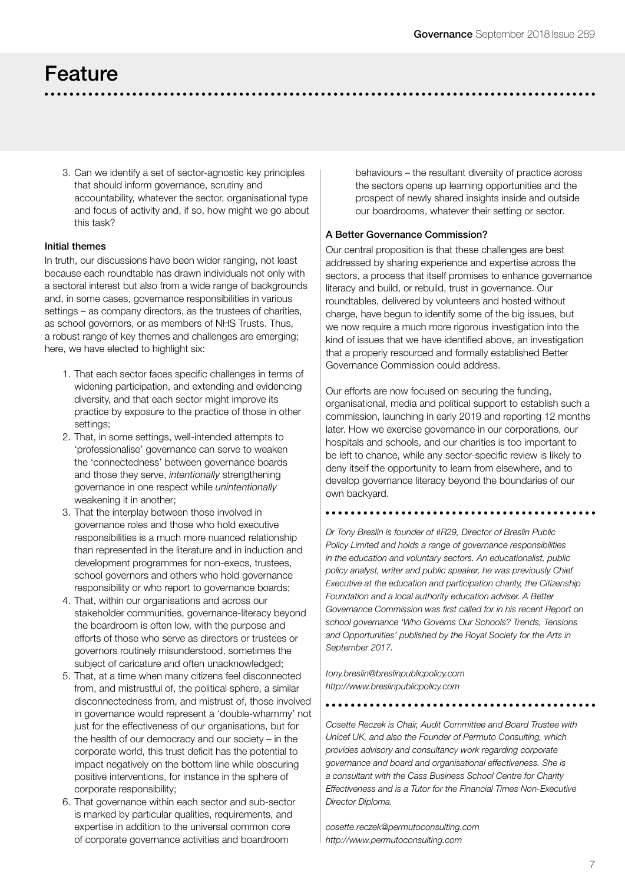3. Can we identify a set of sector-agnostic key principles that should inform governance, scrutiny and accountability, whatever the sector, organisational type and focus of activity and, if so, how might we go about this task?

#### Initial themes

In truth, our discussions have been wider ranging, not least because each roundtable has drawn individuals not only with a sectoral interest but also from a wide range of backgrounds and, in some cases, governance responsibilities in various settings – as company directors, as the trustees of charities, as school governors, or as members of NHS Trusts. Thus, a robust range of key themes and challenges are emerging; here, we have elected to highlight six:

- 1. That each sector faces specific challenges in terms of widening participation, and extending and evidencing diversity, and that each sector might improve its practice by exposure to the practice of those in other settings:
- 2. That, in some settings, well-intended attempts to 'professionalise' governance can serve to weaken the 'connectedness' between governance boards and those they serve, *intentionally* strengthening governance in one respect while *unintentionally* weakening it in another;
- 3. That the interplay between those involved in governance roles and those who hold executive responsibilities is a much more nuanced relationship than represented in the literature and in induction and development programmes for non-execs, trustees, school governors and others who hold governance responsibility or who report to governance boards;
- 4. That, within our organisations and across our stakeholder communities, governance-literacy beyond the boardroom is often low, with the purpose and efforts of those who serve as directors or trustees or governors routinely misunderstood, sometimes the subject of caricature and often unacknowledged;
- 5. That, at a time when many citizens feel disconnected from, and mistrustful of, the political sphere, a similar disconnectedness from, and mistrust of, those involved in governance would represent a 'double-whammy' not just for the effectiveness of our organisations, but for the health of our democracy and our society – in the corporate world, this trust deficit has the potential to impact negatively on the bottom line while obscuring positive interventions, for instance in the sphere of corporate responsibility;
- 6. That governance within each sector and sub-sector is marked by particular qualities, requirements, and expertise in addition to the universal common core of corporate governance activities and boardroom

behaviours – the resultant diversity of practice across the sectors opens up learning opportunities and the prospect of newly shared insights inside and outside our boardrooms, whatever their setting or sector.

#### A Better Governance Commission?

Our central proposition is that these challenges are best addressed by sharing experience and expertise across the sectors, a process that itself promises to enhance governance literacy and build, or rebuild, trust in governance. Our roundtables, delivered by volunteers and hosted without charge, have begun to identify some of the big issues, but we now require a much more rigorous investigation into the kind of issues that we have identified above, an investigation that a properly resourced and formally established Better Governance Commission could address.

Our efforts are now focused on securing the funding, organisational, media and political support to establish such a commission, launching in early 2019 and reporting 12 months later. How we exercise governance in our corporations, our hospitals and schools, and our charities is too important to be left to chance, while any sector-specific review is likely to deny itself the opportunity to learn from elsewhere, and to develop governance literacy beyond the boundaries of our own backyard.

*Dr Tony Breslin is founder of #R29, Director of Breslin Public Policy Limited and holds a range of governance responsibilities in the education and voluntary sectors. An educationalist, public policy analyst, writer and public speaker, he was previously Chief Executive at the education and participation charity, the Citizenship Foundation and a local authority education adviser. A Better Governance Commission was first called for in his recent Report on school governance 'Who Governs Our Schools? Trends, Tensions and Opportunities' published by the Royal Society for the Arts in September 2017.*

*tony.breslin@breslinpublicpolicy.com http://www.breslinpublicpolicy.com*

*Cosette Reczek is Chair, Audit Committee and Board Trustee with Unicef UK, and also the Founder of Permuto Consulting, which provides advisory and consultancy work regarding corporate governance and board and organisational effectiveness. She is a consultant with the Cass Business School Centre for Charity Effectiveness and is a Tutor for the Financial Times Non-Executive Director Diploma.*

*cosette.reczek@permutoconsulting.com http://www.permutoconsulting.com*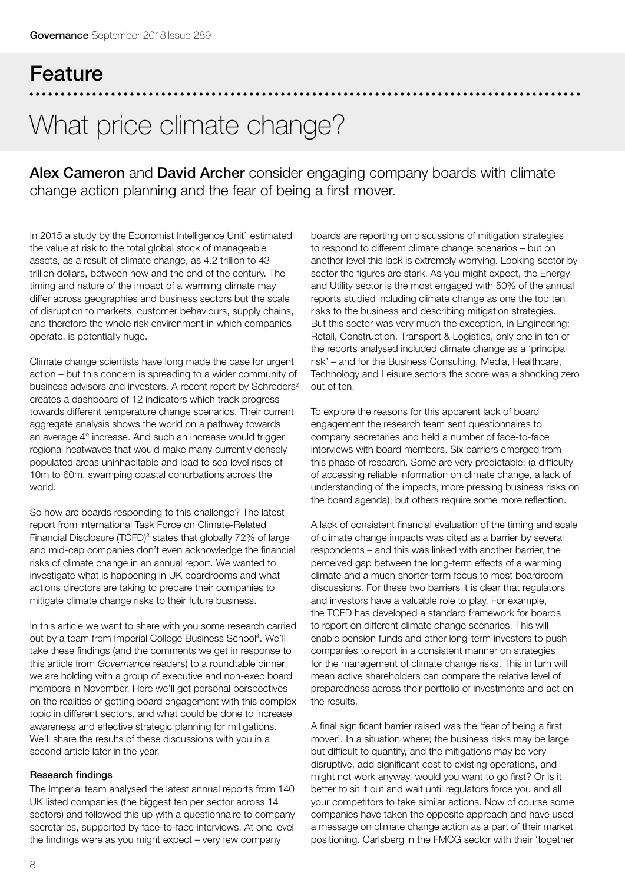# What price climate change?

Alex Cameron and David Archer consider engaging company boards with climate change action planning and the fear of being a first mover.

In 2015 a study by the Economist Intelligence Unit<sup>1</sup> estimated the value at risk to the total global stock of manageable assets, as a result of climate change, as 4.2 trillion to 43 trillion dollars, between now and the end of the century. The timing and nature of the impact of a warming climate may differ across geographies and business sectors but the scale of disruption to markets, customer behaviours, supply chains, and therefore the whole risk environment in which companies operate, is potentially huge.

Climate change scientists have long made the case for urgent action – but this concern is spreading to a wider community of business advisors and investors. A recent report by Schroders<sup>2</sup> creates a dashboard of 12 indicators which track progress towards different temperature change scenarios. Their current aggregate analysis shows the world on a pathway towards an average 4° increase. And such an increase would trigger regional heatwaves that would make many currently densely populated areas uninhabitable and lead to sea level rises of 10m to 60m, swamping coastal conurbations across the world.

So how are boards responding to this challenge? The latest report from international Task Force on Climate-Related Financial Disclosure (TCFD)<sup>3</sup> states that globally 72% of large and mid-cap companies don't even acknowledge the financial risks of climate change in an annual report. We wanted to investigate what is happening in UK boardrooms and what actions directors are taking to prepare their companies to mitigate climate change risks to their future business.

In this article we want to share with you some research carried out by a team from Imperial College Business School<sup>4</sup>. We'll take these findings (and the comments we get in response to this article from *Governance* readers) to a roundtable dinner we are holding with a group of executive and non-exec board members in November. Here we'll get personal perspectives on the realities of getting board engagement with this complex topic in different sectors, and what could be done to increase awareness and effective strategic planning for mitigations. We'll share the results of these discussions with you in a second article later in the year.

#### Research findings

The Imperial team analysed the latest annual reports from 140 UK listed companies (the biggest ten per sector across 14 sectors) and followed this up with a questionnaire to company secretaries, supported by face-to-face interviews. At one level the findings were as you might expect – very few company

boards are reporting on discussions of mitigation strategies to respond to different climate change scenarios – but on another level this lack is extremely worrying. Looking sector by sector the figures are stark. As you might expect, the Energy and Utility sector is the most engaged with 50% of the annual reports studied including climate change as one the top ten risks to the business and describing mitigation strategies. But this sector was very much the exception, in Engineering; Retail, Construction, Transport & Logistics, only one in ten of the reports analysed included climate change as a 'principal risk' – and for the Business Consulting, Media, Healthcare, Technology and Leisure sectors the score was a shocking zero out of ten.

To explore the reasons for this apparent lack of board engagement the research team sent questionnaires to company secretaries and held a number of face-to-face interviews with board members. Six barriers emerged from this phase of research. Some are very predictable: (a difficulty of accessing reliable information on climate change, a lack of understanding of the impacts, more pressing business risks on the board agenda); but others require some more reflection.

A lack of consistent financial evaluation of the timing and scale of climate change impacts was cited as a barrier by several respondents – and this was linked with another barrier, the perceived gap between the long-term effects of a warming climate and a much shorter-term focus to most boardroom discussions. For these two barriers it is clear that regulators and investors have a valuable role to play. For example, the TCFD has developed a standard framework for boards to report on different climate change scenarios. This will enable pension funds and other long-term investors to push companies to report in a consistent manner on strategies for the management of climate change risks. This in turn will mean active shareholders can compare the relative level of preparedness across their portfolio of investments and act on the results.

A final significant barrier raised was the 'fear of being a first mover'. In a situation where; the business risks may be large but difficult to quantify, and the mitigations may be very disruptive, add significant cost to existing operations, and might not work anyway, would you want to go first? Or is it better to sit it out and wait until regulators force you and all your competitors to take similar actions. Now of course some companies have taken the opposite approach and have used a message on climate change action as a part of their market positioning. Carlsberg in the FMCG sector with their 'together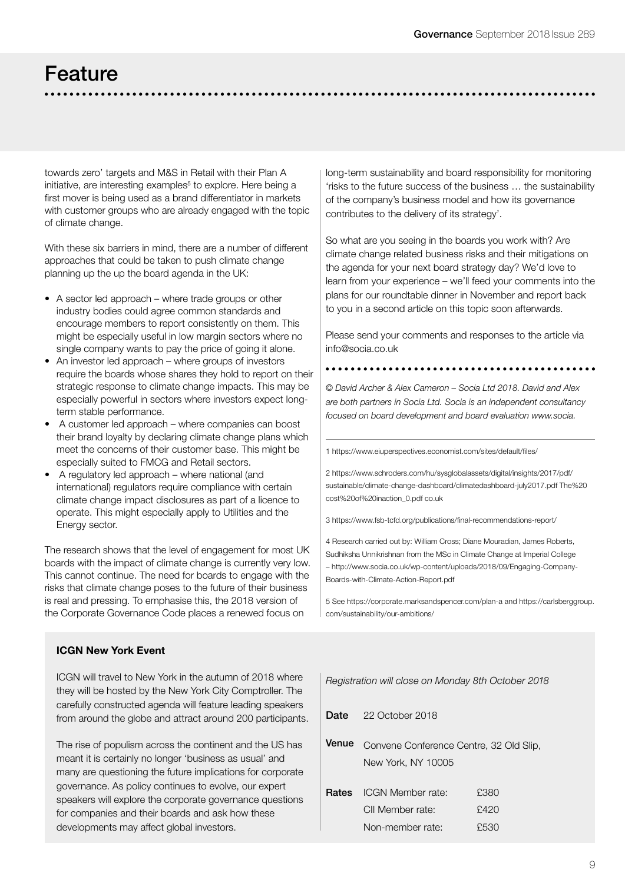towards zero' targets and M&S in Retail with their Plan A initiative, are interesting examples<sup>5</sup> to explore. Here being a first mover is being used as a brand differentiator in markets with customer groups who are already engaged with the topic of climate change.

With these six barriers in mind, there are a number of different approaches that could be taken to push climate change planning up the up the board agenda in the UK:

- A sector led approach where trade groups or other industry bodies could agree common standards and encourage members to report consistently on them. This might be especially useful in low margin sectors where no single company wants to pay the price of going it alone.
- An investor led approach where groups of investors require the boards whose shares they hold to report on their strategic response to climate change impacts. This may be especially powerful in sectors where investors expect longterm stable performance.
- A customer led approach where companies can boost their brand loyalty by declaring climate change plans which meet the concerns of their customer base. This might be especially suited to FMCG and Retail sectors.
- A regulatory led approach where national (and international) regulators require compliance with certain climate change impact disclosures as part of a licence to operate. This might especially apply to Utilities and the Energy sector.

The research shows that the level of engagement for most UK boards with the impact of climate change is currently very low. This cannot continue. The need for boards to engage with the risks that climate change poses to the future of their business is real and pressing. To emphasise this, the 2018 version of the Corporate Governance Code places a renewed focus on

long-term sustainability and board responsibility for monitoring 'risks to the future success of the business … the sustainability of the company's business model and how its governance contributes to the delivery of its strategy'.

So what are you seeing in the boards you work with? Are climate change related business risks and their mitigations on the agenda for your next board strategy day? We'd love to learn from your experience – we'll feed your comments into the plans for our roundtable dinner in November and report back to you in a second article on this topic soon afterwards.

Please send your comments and responses to the article via info@socia.co.uk

*© David Archer & Alex Cameron – Socia Ltd 2018. David and Alex are both partners in Socia Ltd. Socia is an independent consultancy focused on board development and board evaluation www.socia.*

1 https://www.eiuperspectives.economist.com/sites/default/files/

2 https://www.schroders.com/hu/sysglobalassets/digital/insights/2017/pdf/ sustainable/climate-change-dashboard/climatedashboard-july2017.pdf The%20 cost%20of%20inaction\_0.pdf co.uk

3 https://www.fsb-tcfd.org/publications/final-recommendations-report/

4 Research carried out by: William Cross; Diane Mouradian, James Roberts, Sudhiksha Unnikrishnan from the MSc in Climate Change at Imperial College – http://www.socia.co.uk/wp-content/uploads/2018/09/Engaging-Company-Boards-with-Climate-Action-Report.pdf

5 See https://corporate.marksandspencer.com/plan-a and https://carlsberggroup. com/sustainability/our-ambitions/

#### **ICGN New York Event**

ICGN will travel to New York in the autumn of 2018 where they will be hosted by the New York City Comptroller. The carefully constructed agenda will feature leading speakers from around the globe and attract around 200 participants.

The rise of populism across the continent and the US has meant it is certainly no longer 'business as usual' and many are questioning the future implications for corporate governance. As policy continues to evolve, our expert speakers will explore the corporate governance questions for companies and their boards and ask how these developments may affect global investors.

*Registration will close on Monday 8th October 2018*

Date 22 October 2018

Venue Convene Conference Centre, 32 Old Slip, New York, NY 10005

| <b>Rates</b> ICGN Member rate: | £380 |
|--------------------------------|------|
| CII Member rate:               | £420 |
| Non-member rate:               | £530 |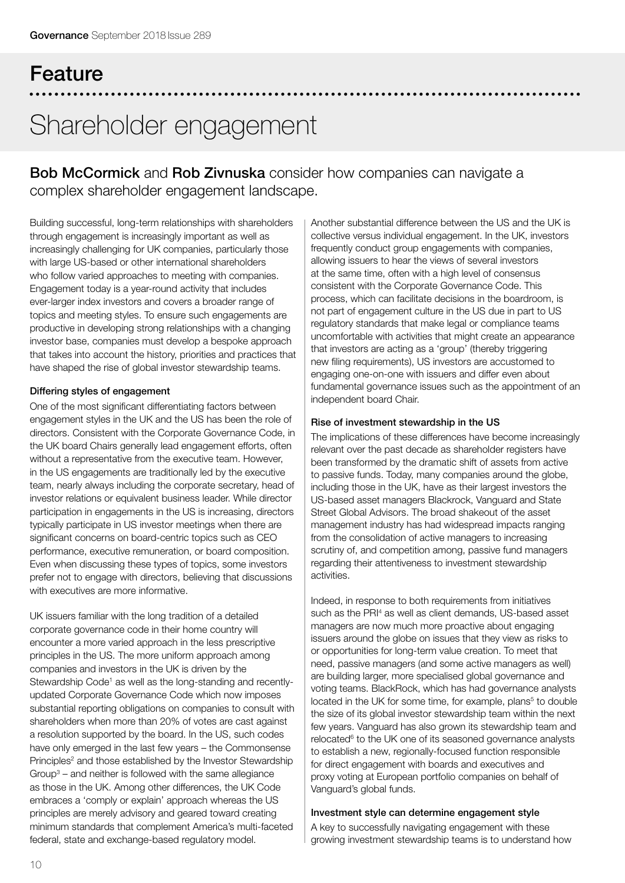# Feature Shareholder engagement

Bob McCormick and Rob Zivnuska consider how companies can navigate a complex shareholder engagement landscape.

Building successful, long-term relationships with shareholders through engagement is increasingly important as well as increasingly challenging for UK companies, particularly those with large US-based or other international shareholders who follow varied approaches to meeting with companies. Engagement today is a year-round activity that includes ever-larger index investors and covers a broader range of topics and meeting styles. To ensure such engagements are productive in developing strong relationships with a changing investor base, companies must develop a bespoke approach that takes into account the history, priorities and practices that have shaped the rise of global investor stewardship teams.

#### Differing styles of engagement

One of the most significant differentiating factors between engagement styles in the UK and the US has been the role of directors. Consistent with the Corporate Governance Code, in the UK board Chairs generally lead engagement efforts, often without a representative from the executive team. However, in the US engagements are traditionally led by the executive team, nearly always including the corporate secretary, head of investor relations or equivalent business leader. While director participation in engagements in the US is increasing, directors typically participate in US investor meetings when there are significant concerns on board-centric topics such as CEO performance, executive remuneration, or board composition. Even when discussing these types of topics, some investors prefer not to engage with directors, believing that discussions with executives are more informative.

UK issuers familiar with the long tradition of a detailed corporate governance code in their home country will encounter a more varied approach in the less prescriptive principles in the US. The more uniform approach among companies and investors in the UK is driven by the Stewardship Code<sup>1</sup> as well as the long-standing and recentlyupdated Corporate Governance Code which now imposes substantial reporting obligations on companies to consult with shareholders when more than 20% of votes are cast against a resolution supported by the board. In the US, such codes have only emerged in the last few years – the Commonsense Principles<sup>2</sup> and those established by the Investor Stewardship Group $3$  – and neither is followed with the same allegiance as those in the UK. Among other differences, the UK Code embraces a 'comply or explain' approach whereas the US principles are merely advisory and geared toward creating minimum standards that complement America's multi-faceted federal, state and exchange-based regulatory model.

Another substantial difference between the US and the UK is collective versus individual engagement. In the UK, investors frequently conduct group engagements with companies, allowing issuers to hear the views of several investors at the same time, often with a high level of consensus consistent with the Corporate Governance Code. This process, which can facilitate decisions in the boardroom, is not part of engagement culture in the US due in part to US regulatory standards that make legal or compliance teams uncomfortable with activities that might create an appearance that investors are acting as a 'group' (thereby triggering new filing requirements), US investors are accustomed to engaging one-on-one with issuers and differ even about fundamental governance issues such as the appointment of an independent board Chair.

#### Rise of investment stewardship in the US

The implications of these differences have become increasingly relevant over the past decade as shareholder registers have been transformed by the dramatic shift of assets from active to passive funds. Today, many companies around the globe, including those in the UK, have as their largest investors the US-based asset managers Blackrock, Vanguard and State Street Global Advisors. The broad shakeout of the asset management industry has had widespread impacts ranging from the consolidation of active managers to increasing scrutiny of, and competition among, passive fund managers regarding their attentiveness to investment stewardship activities.

Indeed, in response to both requirements from initiatives such as the PRI<sup>4</sup> as well as client demands, US-based asset managers are now much more proactive about engaging issuers around the globe on issues that they view as risks to or opportunities for long-term value creation. To meet that need, passive managers (and some active managers as well) are building larger, more specialised global governance and voting teams. BlackRock, which has had governance analysts located in the UK for some time, for example, plans<sup>5</sup> to double the size of its global investor stewardship team within the next few years. Vanguard has also grown its stewardship team and relocated<sup>6</sup> to the UK one of its seasoned governance analysts to establish a new, regionally-focused function responsible for direct engagement with boards and executives and proxy voting at European portfolio companies on behalf of Vanguard's global funds.

#### Investment style can determine engagement style

A key to successfully navigating engagement with these growing investment stewardship teams is to understand how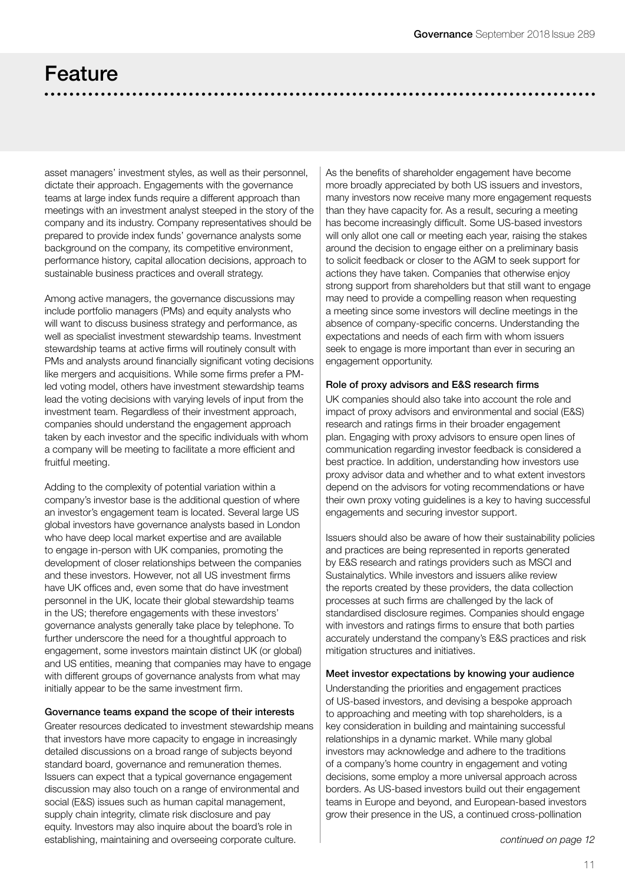asset managers' investment styles, as well as their personnel, dictate their approach. Engagements with the governance teams at large index funds require a different approach than meetings with an investment analyst steeped in the story of the company and its industry. Company representatives should be prepared to provide index funds' governance analysts some background on the company, its competitive environment, performance history, capital allocation decisions, approach to sustainable business practices and overall strategy.

Among active managers, the governance discussions may include portfolio managers (PMs) and equity analysts who will want to discuss business strategy and performance, as well as specialist investment stewardship teams. Investment stewardship teams at active firms will routinely consult with PMs and analysts around financially significant voting decisions like mergers and acquisitions. While some firms prefer a PMled voting model, others have investment stewardship teams lead the voting decisions with varying levels of input from the investment team. Regardless of their investment approach, companies should understand the engagement approach taken by each investor and the specific individuals with whom a company will be meeting to facilitate a more efficient and fruitful meeting.

Adding to the complexity of potential variation within a company's investor base is the additional question of where an investor's engagement team is located. Several large US global investors have governance analysts based in London who have deep local market expertise and are available to engage in-person with UK companies, promoting the development of closer relationships between the companies and these investors. However, not all US investment firms have UK offices and, even some that do have investment personnel in the UK, locate their global stewardship teams in the US; therefore engagements with these investors' governance analysts generally take place by telephone. To further underscore the need for a thoughtful approach to engagement, some investors maintain distinct UK (or global) and US entities, meaning that companies may have to engage with different groups of governance analysts from what may initially appear to be the same investment firm.

#### Governance teams expand the scope of their interests

Greater resources dedicated to investment stewardship means that investors have more capacity to engage in increasingly detailed discussions on a broad range of subjects beyond standard board, governance and remuneration themes. Issuers can expect that a typical governance engagement discussion may also touch on a range of environmental and social (E&S) issues such as human capital management, supply chain integrity, climate risk disclosure and pay equity. Investors may also inquire about the board's role in establishing, maintaining and overseeing corporate culture.

As the benefits of shareholder engagement have become more broadly appreciated by both US issuers and investors, many investors now receive many more engagement requests than they have capacity for. As a result, securing a meeting has become increasingly difficult. Some US-based investors will only allot one call or meeting each year, raising the stakes around the decision to engage either on a preliminary basis to solicit feedback or closer to the AGM to seek support for actions they have taken. Companies that otherwise enjoy strong support from shareholders but that still want to engage may need to provide a compelling reason when requesting a meeting since some investors will decline meetings in the absence of company-specific concerns. Understanding the expectations and needs of each firm with whom issuers seek to engage is more important than ever in securing an engagement opportunity.

#### Role of proxy advisors and E&S research firms

UK companies should also take into account the role and impact of proxy advisors and environmental and social (E&S) research and ratings firms in their broader engagement plan. Engaging with proxy advisors to ensure open lines of communication regarding investor feedback is considered a best practice. In addition, understanding how investors use proxy advisor data and whether and to what extent investors depend on the advisors for voting recommendations or have their own proxy voting guidelines is a key to having successful engagements and securing investor support.

Issuers should also be aware of how their sustainability policies and practices are being represented in reports generated by E&S research and ratings providers such as MSCI and Sustainalytics. While investors and issuers alike review the reports created by these providers, the data collection processes at such firms are challenged by the lack of standardised disclosure regimes. Companies should engage with investors and ratings firms to ensure that both parties accurately understand the company's E&S practices and risk mitigation structures and initiatives.

#### Meet investor expectations by knowing your audience

Understanding the priorities and engagement practices of US-based investors, and devising a bespoke approach to approaching and meeting with top shareholders, is a key consideration in building and maintaining successful relationships in a dynamic market. While many global investors may acknowledge and adhere to the traditions of a company's home country in engagement and voting decisions, some employ a more universal approach across borders. As US-based investors build out their engagement teams in Europe and beyond, and European-based investors grow their presence in the US, a continued cross-pollination